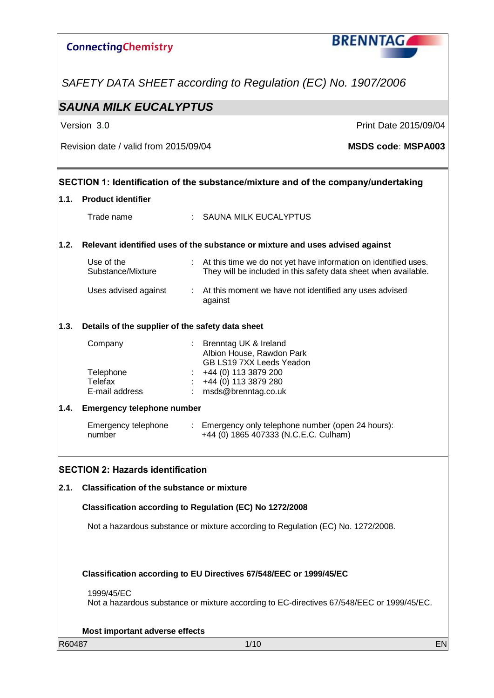# **BRENNTAG ConnectingChemistry** *SAFETY DATA SHEET according to Regulation (EC) No. 1907/2006 SAUNA MILK EUCALYPTUS* Version 3.0 **Print Date 2015/09/04** Revision date / valid from 2015/09/04 **MSDS code: MSPA003 SECTION 1: Identification of the substance/mixture and of the company/undertaking 1.1. Product identifier** Trade name : SAUNA MILK EUCALYPTUS **1.2. Relevant identified uses of the substance or mixture and uses advised against** Use of the : At this time we do not yet have information on identified uses. Substance/Mixture They will be included in this safety data sheet when available. Uses advised against : At this moment we have not identified any uses advised against **1.3. Details of the supplier of the safety data sheet** Company : Brenntag UK & Ireland Albion House, Rawdon Park GB LS19 7XX Leeds Yeadon Telephone : +44 (0) 113 3879 200 Telefax : +44 (0) 113 3879 280 E-mail address : msds@brenntag.co.uk **1.4. Emergency telephone number** Emergency telephone : Emergency only telephone number (open 24 hours): +44 (0) 1865 407333 (N.C.E.C. Culham) number **SECTION 2: Hazards identification 2.1. Classification of the substance or mixture Classification according to Regulation (EC) No 1272/2008** Not a hazardous substance or mixture according to Regulation (EC) No. 1272/2008. **Classification according to EU Directives 67/548/EEC or 1999/45/EC** 1999/45/EC Not a hazardous substance or mixture according to EC-directives 67/548/EEC or 1999/45/EC. **Most important adverse effects**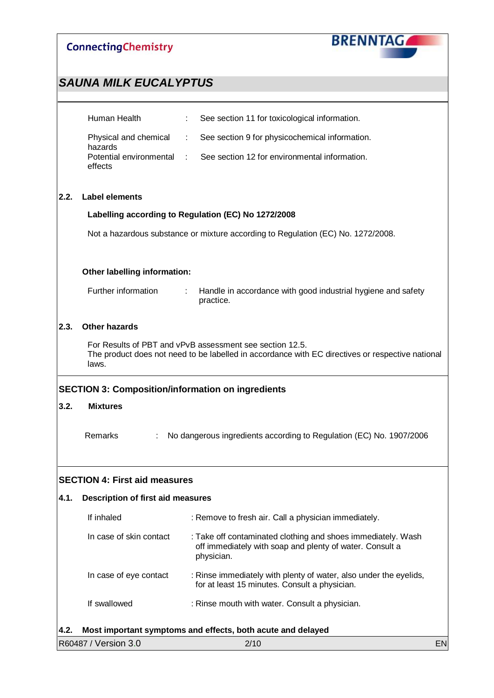

|      | Human Health                                             | See section 11 for toxicological information.<br>÷                                                                                                           |  |  |  |  |
|------|----------------------------------------------------------|--------------------------------------------------------------------------------------------------------------------------------------------------------------|--|--|--|--|
|      | Physical and chemical<br>hazards                         | See section 9 for physicochemical information.<br>÷                                                                                                          |  |  |  |  |
|      | Potential environmental<br>effects                       | See section 12 for environmental information.<br>t.                                                                                                          |  |  |  |  |
| 2.2. | <b>Label elements</b>                                    |                                                                                                                                                              |  |  |  |  |
|      |                                                          | Labelling according to Regulation (EC) No 1272/2008                                                                                                          |  |  |  |  |
|      |                                                          | Not a hazardous substance or mixture according to Regulation (EC) No. 1272/2008.                                                                             |  |  |  |  |
|      | Other labelling information:                             |                                                                                                                                                              |  |  |  |  |
|      | Further information                                      | Handle in accordance with good industrial hygiene and safety<br>÷.<br>practice.                                                                              |  |  |  |  |
| 2.3. | <b>Other hazards</b>                                     |                                                                                                                                                              |  |  |  |  |
|      | laws.                                                    | For Results of PBT and vPvB assessment see section 12.5.<br>The product does not need to be labelled in accordance with EC directives or respective national |  |  |  |  |
|      | <b>SECTION 3: Composition/information on ingredients</b> |                                                                                                                                                              |  |  |  |  |
| 3.2. | <b>Mixtures</b>                                          |                                                                                                                                                              |  |  |  |  |
|      | Remarks                                                  | No dangerous ingredients according to Regulation (EC) No. 1907/2006                                                                                          |  |  |  |  |
|      | <b>SECTION 4: First aid measures</b>                     |                                                                                                                                                              |  |  |  |  |
| 4.1. | <b>Description of first aid measures</b>                 |                                                                                                                                                              |  |  |  |  |
|      | If inhaled                                               | : Remove to fresh air. Call a physician immediately.                                                                                                         |  |  |  |  |
|      | In case of skin contact                                  | : Take off contaminated clothing and shoes immediately. Wash<br>off immediately with soap and plenty of water. Consult a<br>physician.                       |  |  |  |  |
|      | In case of eye contact                                   | : Rinse immediately with plenty of water, also under the eyelids,<br>for at least 15 minutes. Consult a physician.                                           |  |  |  |  |
|      | If swallowed                                             | : Rinse mouth with water. Consult a physician.                                                                                                               |  |  |  |  |
| 4.2. |                                                          | Most important symptoms and effects, both acute and delayed                                                                                                  |  |  |  |  |

| R60487 / Version 3.0 | 2/10 | 'N |
|----------------------|------|----|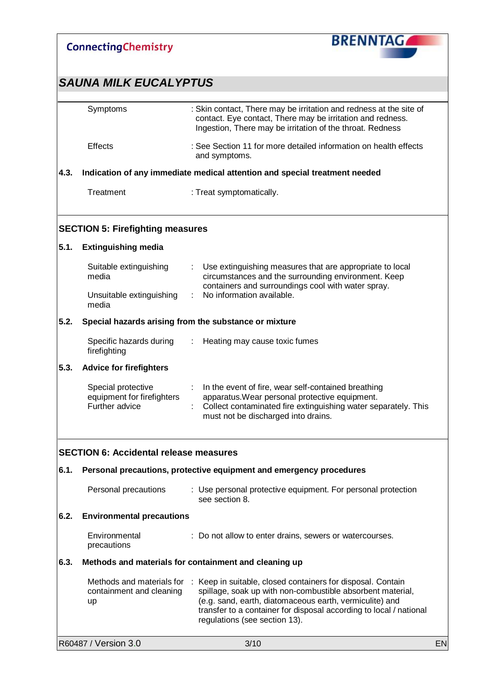|                                                               | <b>ConnectingChemistry</b>                                         | <b>BRENNTAG</b>                                                                                                                                                                                                                                                                             |           |  |  |  |
|---------------------------------------------------------------|--------------------------------------------------------------------|---------------------------------------------------------------------------------------------------------------------------------------------------------------------------------------------------------------------------------------------------------------------------------------------|-----------|--|--|--|
|                                                               | <b>SAUNA MILK EUCALYPTUS</b>                                       |                                                                                                                                                                                                                                                                                             |           |  |  |  |
|                                                               | Symptoms                                                           | : Skin contact, There may be irritation and redness at the site of<br>contact. Eye contact, There may be irritation and redness.<br>Ingestion, There may be irritation of the throat. Redness                                                                                               |           |  |  |  |
|                                                               | <b>Effects</b>                                                     | : See Section 11 for more detailed information on health effects<br>and symptoms.                                                                                                                                                                                                           |           |  |  |  |
| 4.3.                                                          |                                                                    | Indication of any immediate medical attention and special treatment needed                                                                                                                                                                                                                  |           |  |  |  |
|                                                               | Treatment                                                          | : Treat symptomatically.                                                                                                                                                                                                                                                                    |           |  |  |  |
|                                                               | <b>SECTION 5: Firefighting measures</b>                            |                                                                                                                                                                                                                                                                                             |           |  |  |  |
| 5.1.                                                          | <b>Extinguishing media</b>                                         |                                                                                                                                                                                                                                                                                             |           |  |  |  |
|                                                               | Suitable extinguishing<br>media                                    | Use extinguishing measures that are appropriate to local<br>circumstances and the surrounding environment. Keep<br>containers and surroundings cool with water spray.                                                                                                                       |           |  |  |  |
|                                                               | Unsuitable extinguishing<br>media                                  | No information available.                                                                                                                                                                                                                                                                   |           |  |  |  |
| 5.2.<br>Special hazards arising from the substance or mixture |                                                                    |                                                                                                                                                                                                                                                                                             |           |  |  |  |
|                                                               | Specific hazards during<br>firefighting                            | : Heating may cause toxic fumes                                                                                                                                                                                                                                                             |           |  |  |  |
| 5.3.                                                          | <b>Advice for firefighters</b>                                     |                                                                                                                                                                                                                                                                                             |           |  |  |  |
|                                                               | Special protective<br>equipment for firefighters<br>Further advice | In the event of fire, wear self-contained breathing<br>$\mathcal{I}^{\mathcal{I}}$ .<br>apparatus. Wear personal protective equipment.<br>Collect contaminated fire extinguishing water separately. This<br>must not be discharged into drains.                                             |           |  |  |  |
|                                                               | <b>SECTION 6: Accidental release measures</b>                      |                                                                                                                                                                                                                                                                                             |           |  |  |  |
| 6.1.                                                          |                                                                    | Personal precautions, protective equipment and emergency procedures                                                                                                                                                                                                                         |           |  |  |  |
|                                                               | Personal precautions                                               | : Use personal protective equipment. For personal protection<br>see section 8.                                                                                                                                                                                                              |           |  |  |  |
| 6.2.                                                          | <b>Environmental precautions</b>                                   |                                                                                                                                                                                                                                                                                             |           |  |  |  |
|                                                               | Environmental<br>precautions                                       | : Do not allow to enter drains, sewers or watercourses.                                                                                                                                                                                                                                     |           |  |  |  |
| 6.3.                                                          |                                                                    | Methods and materials for containment and cleaning up                                                                                                                                                                                                                                       |           |  |  |  |
|                                                               | Methods and materials for<br>containment and cleaning<br>up        | : Keep in suitable, closed containers for disposal. Contain<br>spillage, soak up with non-combustible absorbent material,<br>(e.g. sand, earth, diatomaceous earth, vermiculite) and<br>transfer to a container for disposal according to local / national<br>regulations (see section 13). |           |  |  |  |
|                                                               | R60487 / Version 3.0                                               | 3/10                                                                                                                                                                                                                                                                                        | <b>EN</b> |  |  |  |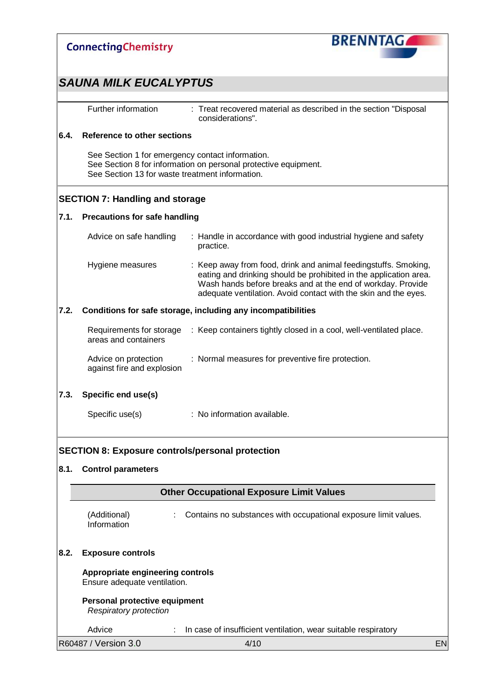

**Personal protective equipment** *Respiratory protection*

Advice : In case of insufficient ventilation, wear suitable respiratory

R60487 / Version 3.0 4/10 EN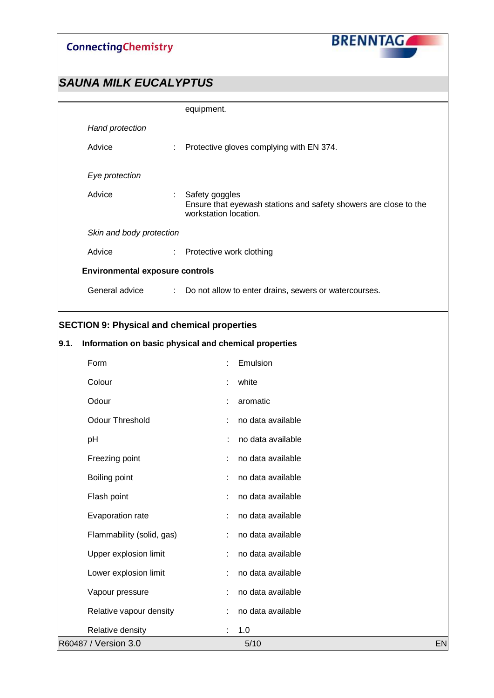

|      |                                                       | equipment.               |  |                                                                  |    |
|------|-------------------------------------------------------|--------------------------|--|------------------------------------------------------------------|----|
|      | Hand protection                                       |                          |  |                                                                  |    |
|      | Advice<br>t,                                          |                          |  | Protective gloves complying with EN 374.                         |    |
|      | Eye protection                                        |                          |  |                                                                  |    |
|      | Advice<br>÷                                           | Safety goggles           |  |                                                                  |    |
|      |                                                       | workstation location.    |  | Ensure that eyewash stations and safety showers are close to the |    |
|      | Skin and body protection                              |                          |  |                                                                  |    |
|      | Advice<br>÷.                                          | Protective work clothing |  |                                                                  |    |
|      | <b>Environmental exposure controls</b>                |                          |  |                                                                  |    |
|      | General advice                                        |                          |  | : Do not allow to enter drains, sewers or watercourses.          |    |
|      |                                                       |                          |  |                                                                  |    |
|      | <b>SECTION 9: Physical and chemical properties</b>    |                          |  |                                                                  |    |
| 9.1. | Information on basic physical and chemical properties |                          |  |                                                                  |    |
|      | Form                                                  |                          |  | Emulsion                                                         |    |
|      | Colour                                                |                          |  | white                                                            |    |
|      | Odour                                                 |                          |  | aromatic                                                         |    |
|      | <b>Odour Threshold</b>                                |                          |  | no data available                                                |    |
|      | pH                                                    |                          |  | no data available                                                |    |
|      | Freezing point                                        |                          |  | no data available                                                |    |
|      | Boiling point                                         |                          |  | no data available                                                |    |
|      | Flash point                                           |                          |  | no data available                                                |    |
|      | Evaporation rate                                      |                          |  | no data available                                                |    |
|      | Flammability (solid, gas)                             |                          |  | no data available                                                |    |
|      | Upper explosion limit                                 |                          |  | no data available                                                |    |
|      | Lower explosion limit                                 | t                        |  | no data available                                                |    |
|      | Vapour pressure                                       |                          |  | no data available                                                |    |
|      | Relative vapour density                               |                          |  | no data available                                                |    |
|      | Relative density                                      |                          |  | 1.0                                                              |    |
|      | R60487 / Version 3.0                                  |                          |  | 5/10                                                             | EN |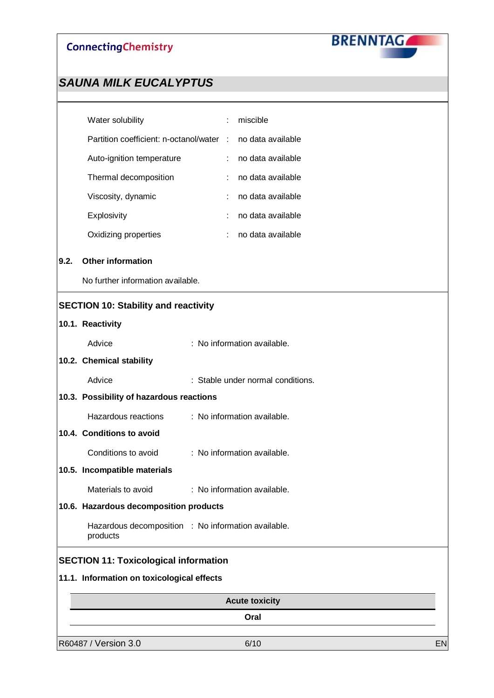

|      | <b>Acute toxicity</b><br>Oral                                   |  |                |                                   |  |  |  |
|------|-----------------------------------------------------------------|--|----------------|-----------------------------------|--|--|--|
|      | 11.1. Information on toxicological effects                      |  |                |                                   |  |  |  |
|      | <b>SECTION 11: Toxicological information</b>                    |  |                |                                   |  |  |  |
|      | Hazardous decomposition : No information available.<br>products |  |                |                                   |  |  |  |
|      | 10.6. Hazardous decomposition products                          |  |                |                                   |  |  |  |
|      | Materials to avoid                                              |  |                | : No information available.       |  |  |  |
|      | 10.5. Incompatible materials                                    |  |                |                                   |  |  |  |
|      | Conditions to avoid                                             |  |                | : No information available.       |  |  |  |
|      | 10.4. Conditions to avoid                                       |  |                |                                   |  |  |  |
|      | Hazardous reactions                                             |  |                | : No information available.       |  |  |  |
|      | 10.3. Possibility of hazardous reactions                        |  |                |                                   |  |  |  |
|      | Advice                                                          |  |                | : Stable under normal conditions. |  |  |  |
|      | 10.2. Chemical stability                                        |  |                |                                   |  |  |  |
|      | Advice                                                          |  |                | : No information available.       |  |  |  |
|      | 10.1. Reactivity                                                |  |                |                                   |  |  |  |
|      | <b>SECTION 10: Stability and reactivity</b>                     |  |                |                                   |  |  |  |
|      | No further information available.                               |  |                |                                   |  |  |  |
| 9.2. | <b>Other information</b>                                        |  |                |                                   |  |  |  |
|      | Oxidizing properties                                            |  |                | no data available                 |  |  |  |
|      | Explosivity                                                     |  |                | no data available                 |  |  |  |
|      | Viscosity, dynamic                                              |  |                | no data available                 |  |  |  |
|      | Thermal decomposition                                           |  |                | no data available                 |  |  |  |
|      | Auto-ignition temperature                                       |  | $\mathbb{R}^n$ | no data available                 |  |  |  |
|      | Partition coefficient: n-octanol/water :                        |  |                | no data available                 |  |  |  |
|      | Water solubility                                                |  |                | miscible                          |  |  |  |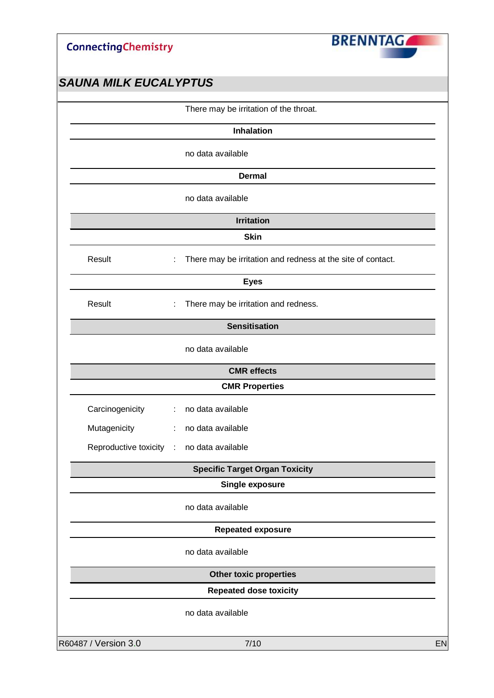

|                 | There may be irritation of the throat.                            |
|-----------------|-------------------------------------------------------------------|
|                 | <b>Inhalation</b>                                                 |
|                 | no data available                                                 |
|                 | <b>Dermal</b>                                                     |
|                 | no data available                                                 |
|                 | <b>Irritation</b>                                                 |
|                 | <b>Skin</b>                                                       |
| Result          | There may be irritation and redness at the site of contact.<br>t, |
|                 | <b>Eyes</b>                                                       |
| Result          | There may be irritation and redness.<br>÷                         |
|                 | <b>Sensitisation</b>                                              |
|                 | no data available                                                 |
|                 | <b>CMR</b> effects                                                |
|                 | <b>CMR Properties</b>                                             |
| Carcinogenicity | no data available<br>÷                                            |
| Mutagenicity    | no data available<br>÷                                            |
|                 | Reproductive toxicity : no data available                         |
|                 | <b>Specific Target Organ Toxicity</b>                             |
|                 | <b>Single exposure</b>                                            |
|                 | no data available                                                 |
|                 | <b>Repeated exposure</b>                                          |
|                 | no data available                                                 |
|                 | Other toxic properties                                            |
|                 | <b>Repeated dose toxicity</b>                                     |
|                 | no data available                                                 |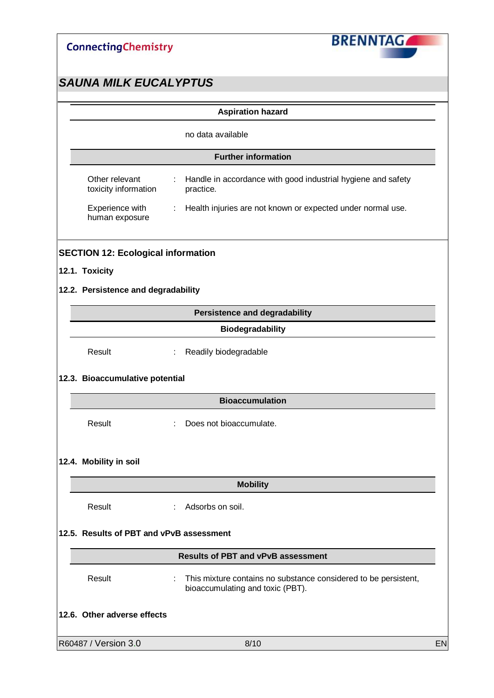

|                   |                                           | <b>Aspiration hazard</b>                                                                            |    |  |  |  |
|-------------------|-------------------------------------------|-----------------------------------------------------------------------------------------------------|----|--|--|--|
| no data available |                                           |                                                                                                     |    |  |  |  |
|                   | <b>Further information</b>                |                                                                                                     |    |  |  |  |
|                   | Other relevant<br>toxicity information    | Handle in accordance with good industrial hygiene and safety<br>practice.                           |    |  |  |  |
|                   | Experience with<br>human exposure         | Health injuries are not known or expected under normal use.<br>÷                                    |    |  |  |  |
|                   | <b>SECTION 12: Ecological information</b> |                                                                                                     |    |  |  |  |
|                   | 12.1. Toxicity                            |                                                                                                     |    |  |  |  |
|                   | 12.2. Persistence and degradability       |                                                                                                     |    |  |  |  |
|                   |                                           | <b>Persistence and degradability</b>                                                                |    |  |  |  |
|                   |                                           | Biodegradability                                                                                    |    |  |  |  |
|                   | Result                                    | Readily biodegradable<br>÷.                                                                         |    |  |  |  |
|                   | 12.3. Bioaccumulative potential           |                                                                                                     |    |  |  |  |
|                   |                                           | <b>Bioaccumulation</b>                                                                              |    |  |  |  |
|                   | Result                                    | Does not bioaccumulate.                                                                             |    |  |  |  |
|                   | 12.4. Mobility in soil                    |                                                                                                     |    |  |  |  |
|                   |                                           | <b>Mobility</b>                                                                                     |    |  |  |  |
|                   | Result                                    | Adsorbs on soil.                                                                                    |    |  |  |  |
|                   | 12.5. Results of PBT and vPvB assessment  |                                                                                                     |    |  |  |  |
|                   |                                           | <b>Results of PBT and vPvB assessment</b>                                                           |    |  |  |  |
|                   | Result                                    | This mixture contains no substance considered to be persistent,<br>bioaccumulating and toxic (PBT). |    |  |  |  |
|                   | 12.6. Other adverse effects               |                                                                                                     |    |  |  |  |
|                   | R60487 / Version 3.0                      | 8/10                                                                                                | EN |  |  |  |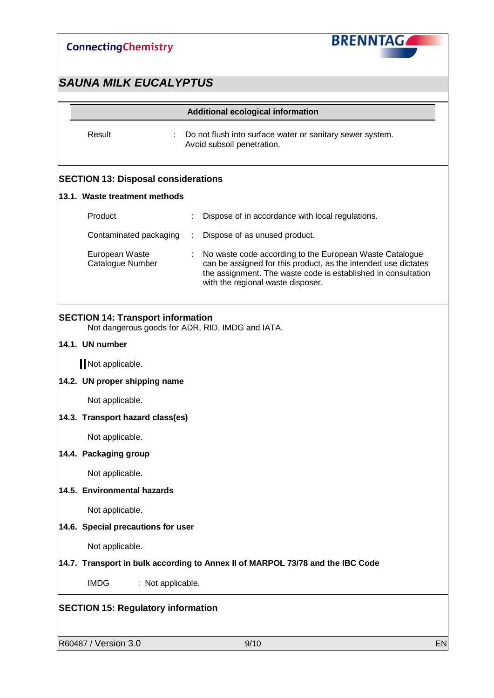

## *SAUNA MILK EUCALYPTUS*

| Result<br><b>SECTION 13: Disposal considerations</b><br>13.1. Waste treatment methods<br>Product<br>Contaminated packaging<br>European Waste<br>Catalogue Number | Do not flush into surface water or sanitary sewer system.<br>Avoid subsoil penetration.<br>Dispose of in accordance with local regulations.                                                                                     |  |  |  |  |  |
|------------------------------------------------------------------------------------------------------------------------------------------------------------------|---------------------------------------------------------------------------------------------------------------------------------------------------------------------------------------------------------------------------------|--|--|--|--|--|
|                                                                                                                                                                  |                                                                                                                                                                                                                                 |  |  |  |  |  |
|                                                                                                                                                                  |                                                                                                                                                                                                                                 |  |  |  |  |  |
|                                                                                                                                                                  |                                                                                                                                                                                                                                 |  |  |  |  |  |
|                                                                                                                                                                  |                                                                                                                                                                                                                                 |  |  |  |  |  |
|                                                                                                                                                                  | Dispose of as unused product.                                                                                                                                                                                                   |  |  |  |  |  |
|                                                                                                                                                                  | No waste code according to the European Waste Catalogue<br>can be assigned for this product, as the intended use dictates<br>the assignment. The waste code is established in consultation<br>with the regional waste disposer. |  |  |  |  |  |
| <b>SECTION 14: Transport information</b>                                                                                                                         | Not dangerous goods for ADR, RID, IMDG and IATA.                                                                                                                                                                                |  |  |  |  |  |
| 14.1. UN number                                                                                                                                                  |                                                                                                                                                                                                                                 |  |  |  |  |  |
| Not applicable.                                                                                                                                                  |                                                                                                                                                                                                                                 |  |  |  |  |  |
| 14.2. UN proper shipping name                                                                                                                                    |                                                                                                                                                                                                                                 |  |  |  |  |  |
| Not applicable.                                                                                                                                                  |                                                                                                                                                                                                                                 |  |  |  |  |  |
|                                                                                                                                                                  | 14.3. Transport hazard class(es)                                                                                                                                                                                                |  |  |  |  |  |
| Not applicable.                                                                                                                                                  |                                                                                                                                                                                                                                 |  |  |  |  |  |
| 14.4. Packaging group                                                                                                                                            |                                                                                                                                                                                                                                 |  |  |  |  |  |
| Not applicable.                                                                                                                                                  |                                                                                                                                                                                                                                 |  |  |  |  |  |
| 14.5. Environmental hazards                                                                                                                                      |                                                                                                                                                                                                                                 |  |  |  |  |  |
| Not applicable.                                                                                                                                                  |                                                                                                                                                                                                                                 |  |  |  |  |  |
|                                                                                                                                                                  | 14.6. Special precautions for user                                                                                                                                                                                              |  |  |  |  |  |
| Not applicable.                                                                                                                                                  |                                                                                                                                                                                                                                 |  |  |  |  |  |
|                                                                                                                                                                  | 14.7. Transport in bulk according to Annex II of MARPOL 73/78 and the IBC Code                                                                                                                                                  |  |  |  |  |  |
| <b>IMDG</b>                                                                                                                                                      | : Not applicable.                                                                                                                                                                                                               |  |  |  |  |  |
| <b>SECTION 15: Regulatory information</b>                                                                                                                        |                                                                                                                                                                                                                                 |  |  |  |  |  |

**R60487 / Version 3.0 9/10 EN**